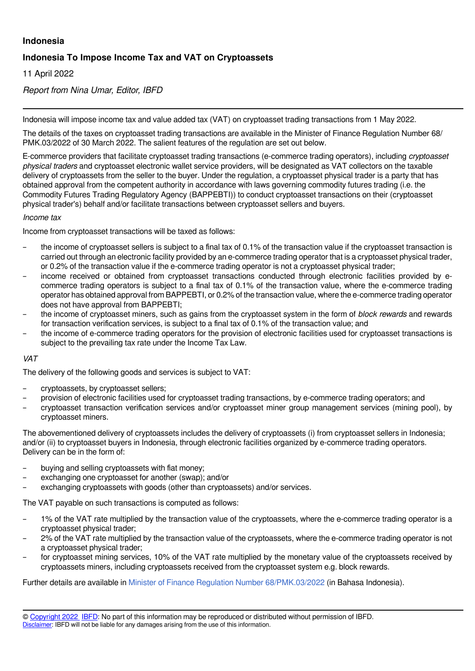## **Indonesia**

# **Indonesia To Impose Income Tax and VAT on Cryptoassets**

11 April 2022

*Report from Nina Umar, Editor, IBFD*

Indonesia will impose income tax and value added tax (VAT) on cryptoasset trading transactions from 1 May 2022.

The details of the taxes on cryptoasset trading transactions are available in the Minister of Finance Regulation Number 68/ PMK.03/2022 of 30 March 2022. The salient features of the regulation are set out below.

E-commerce providers that facilitate cryptoasset trading transactions (e-commerce trading operators), including *cryptoasset physical traders* and cryptoasset electronic wallet service providers, will be designated as VAT collectors on the taxable delivery of cryptoassets from the seller to the buyer. Under the regulation, a cryptoasset physical trader is a party that has obtained approval from the competent authority in accordance with laws governing commodity futures trading (i.e. the Commodity Futures Trading Regulatory Agency (BAPPEBTI)) to conduct cryptoasset transactions on their (cryptoasset physical trader's) behalf and/or facilitate transactions between cryptoasset sellers and buyers.

### *Income tax*

Income from cryptoasset transactions will be taxed as follows:

- the income of cryptoasset sellers is subject to a final tax of 0.1% of the transaction value if the cryptoasset transaction is carried out through an electronic facility provided by an e-commerce trading operator that is a cryptoasset physical trader, or 0.2% of the transaction value if the e-commerce trading operator is not a cryptoasset physical trader;
- income received or obtained from cryptoasset transactions conducted through electronic facilities provided by ecommerce trading operators is subject to a final tax of 0.1% of the transaction value, where the e-commerce trading operator has obtained approval from BAPPEBTI, or 0.2% of the transaction value, where the e-commerce trading operator does not have approval from BAPPEBTI;
- the income of cryptoasset miners, such as gains from the cryptoasset system in the form of *block rewards* and rewards for transaction verification services, is subject to a final tax of 0.1% of the transaction value; and
- the income of e-commerce trading operators for the provision of electronic facilities used for cryptoasset transactions is subject to the prevailing tax rate under the Income Tax Law.

### *VAT*

The delivery of the following goods and services is subject to VAT:

- cryptoassets, by cryptoasset sellers;
- provision of electronic facilities used for cryptoasset trading transactions, by e-commerce trading operators; and
- cryptoasset transaction verification services and/or cryptoasset miner group management services (mining pool), by cryptoasset miners.

The abovementioned delivery of cryptoassets includes the delivery of cryptoassets (i) from cryptoasset sellers in Indonesia; and/or (ii) to cryptoasset buyers in Indonesia, through electronic facilities organized by e-commerce trading operators. Delivery can be in the form of:

- buying and selling cryptoassets with fiat money;<br>– exchanging one cryptoasset for another (swap);
- exchanging one cryptoasset for another (swap); and/or
- exchanging cryptoassets with goods (other than cryptoassets) and/or services.

The VAT payable on such transactions is computed as follows:

- 1% of the VAT rate multiplied by the transaction value of the cryptoassets, where the e-commerce trading operator is a cryptoasset physical trader;
- 2% of the VAT rate multiplied by the transaction value of the cryptoassets, where the e-commerce trading operator is not a cryptoasset physical trader;
- for cryptoasset mining services, 10% of the VAT rate multiplied by the monetary value of the cryptoassets received by cryptoassets miners, including cryptoassets received from the cryptoasset system e.g. block rewards.

Further details are available in [Minister of Finance Regulation Number 68/PMK.03/2022](https://www.pajak.go.id/id/peraturan/pajak-pertambahan-nilai-dan-pajak-penghasilan-atas-transaksi-perdagangan-aset-kripto) (in Bahasa Indonesia).

<sup>©</sup> [Copyright 2022](http://www.ibfd.org/Copyright-IBFD) [IBFD:](http://www.ibfd.org) No part of this information may be reproduced or distributed without permission of IBFD. [Disclaimer:](http://www.ibfd.org/Disclaimer) IBFD will not be liable for any damages arising from the use of this information.